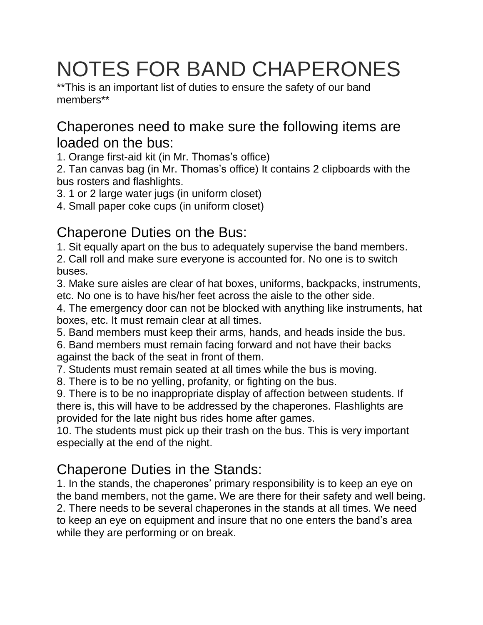# NOTES FOR BAND CHAPERONES

\*\*This is an important list of duties to ensure the safety of our band members\*\*

### Chaperones need to make sure the following items are loaded on the bus:

1. Orange first-aid kit (in Mr. Thomas's office)

2. Tan canvas bag (in Mr. Thomas's office) It contains 2 clipboards with the bus rosters and flashlights.

3. 1 or 2 large water jugs (in uniform closet)

4. Small paper coke cups (in uniform closet)

## Chaperone Duties on the Bus:

1. Sit equally apart on the bus to adequately supervise the band members.

2. Call roll and make sure everyone is accounted for. No one is to switch buses.

3. Make sure aisles are clear of hat boxes, uniforms, backpacks, instruments, etc. No one is to have his/her feet across the aisle to the other side.

4. The emergency door can not be blocked with anything like instruments, hat boxes, etc. It must remain clear at all times.

5. Band members must keep their arms, hands, and heads inside the bus.

6. Band members must remain facing forward and not have their backs against the back of the seat in front of them.

7. Students must remain seated at all times while the bus is moving.

8. There is to be no yelling, profanity, or fighting on the bus.

9. There is to be no inappropriate display of affection between students. If there is, this will have to be addressed by the chaperones. Flashlights are provided for the late night bus rides home after games.

10. The students must pick up their trash on the bus. This is very important especially at the end of the night.

## Chaperone Duties in the Stands:

1. In the stands, the chaperones' primary responsibility is to keep an eye on the band members, not the game. We are there for their safety and well being. 2. There needs to be several chaperones in the stands at all times. We need to keep an eye on equipment and insure that no one enters the band's area while they are performing or on break.